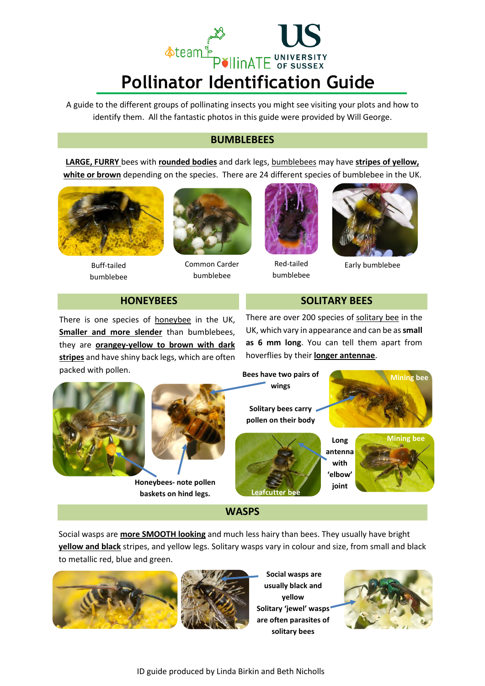

A guide to the different groups of pollinating insects you might see visiting your plots and how to identify them. All the fantastic photos in this guide were provided by [Will George.](http://www.flickr.com/photos/runnerwill/)

### **BUMBLEBEES**

**LARGE, FURRY** bees with **rounded bodies** and dark legs, [bumblebees](http://bumblebeeconservation.org/) may have **stripes of yellow, white or brown** depending on the species. There are 24 different species of bumblebee in the UK.



Buff-tailed bumblebee



Common Carder bumblebee



Red-tailed bumblebee



Early bumblebee

# **HONEYBEES** SOLITARY BEES

There is one species of **[honeybee](https://www.bbka.org.uk/learn/)** in the UK, **Smaller and more slender** than bumblebees, they are **orangey-yellow to brown with dark stripes** and have shiny back legs, which are often packed with pollen.

There are over 200 species of [solitary bee](http://www.bwars.com/) in the UK, which vary in appearance and can be as **small as 6 mm long**. You can tell them apart from hoverflies by their **longer antennae**.





**Honeybees- note pollen baskets on hind legs.**

**Long wings Solitary bees carry pollen on their body**



**antenna with 'elbow' joint**

**of wings**





Social wasps are **more SMOOTH looking** and much less hairy than bees. They usually have bright **yellow and black** stripes, and yellow legs. Solitary wasps vary in colour and size, from small and black to metallic red, blue and green.

**WASPS**





**Social wasps are usually black and yellow Solitary 'jewel' wasps are often parasites of solitary bees**